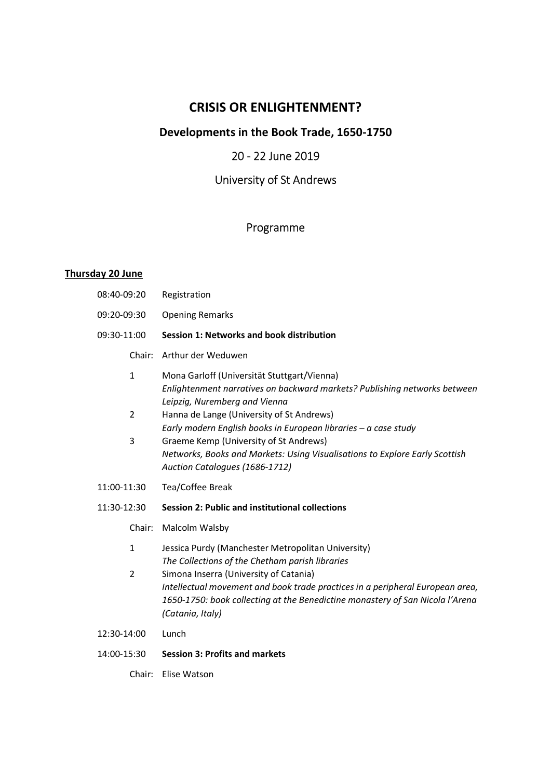# CRISIS OR ENLIGHTENMENT?

# Developments in the Book Trade, 1650-1750

## 20 - 22 June 2019

# University of St Andrews

## Programme

## Thursday 20 June

| 08:40-09:20                    | Registration                                                                                                                                                                                                                                                                                                                          |  |  |
|--------------------------------|---------------------------------------------------------------------------------------------------------------------------------------------------------------------------------------------------------------------------------------------------------------------------------------------------------------------------------------|--|--|
| 09:20-09:30                    | <b>Opening Remarks</b>                                                                                                                                                                                                                                                                                                                |  |  |
| 09:30-11:00                    | Session 1: Networks and book distribution                                                                                                                                                                                                                                                                                             |  |  |
| Chair:                         | Arthur der Weduwen                                                                                                                                                                                                                                                                                                                    |  |  |
| $\mathbf{1}$<br>$\overline{2}$ | Mona Garloff (Universität Stuttgart/Vienna)<br>Enlightenment narratives on backward markets? Publishing networks between<br>Leipzig, Nuremberg and Vienna<br>Hanna de Lange (University of St Andrews)<br>Early modern English books in European libraries - a case study                                                             |  |  |
| 3                              | Graeme Kemp (University of St Andrews)<br>Networks, Books and Markets: Using Visualisations to Explore Early Scottish<br>Auction Catalogues (1686-1712)                                                                                                                                                                               |  |  |
| 11:00-11:30                    |                                                                                                                                                                                                                                                                                                                                       |  |  |
|                                | Tea/Coffee Break                                                                                                                                                                                                                                                                                                                      |  |  |
| 11:30-12:30                    | <b>Session 2: Public and institutional collections</b>                                                                                                                                                                                                                                                                                |  |  |
| Chair:                         | Malcolm Walsby                                                                                                                                                                                                                                                                                                                        |  |  |
| $\mathbf{1}$<br>$\overline{2}$ | Jessica Purdy (Manchester Metropolitan University)<br>The Collections of the Chetham parish libraries<br>Simona Inserra (University of Catania)<br>Intellectual movement and book trade practices in a peripheral European area,<br>1650-1750: book collecting at the Benedictine monastery of San Nicola l'Arena<br>(Catania, Italy) |  |  |
| 12:30-14:00                    | Lunch                                                                                                                                                                                                                                                                                                                                 |  |  |

Chair: Elise Watson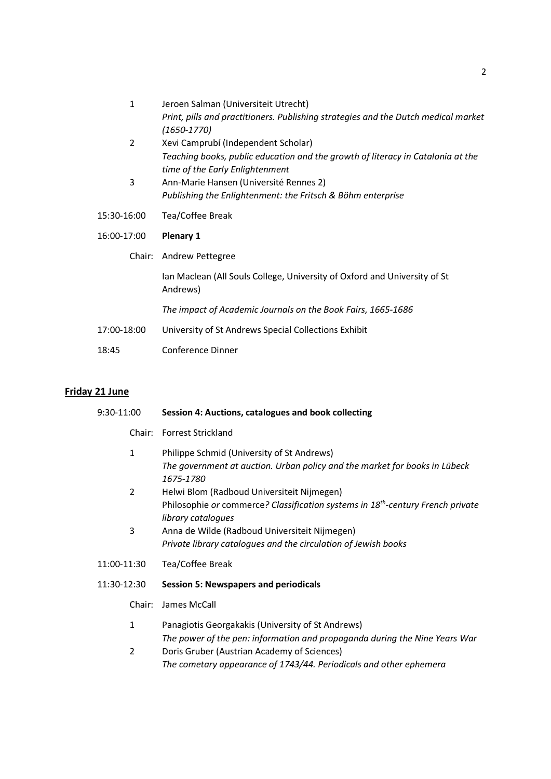| $\mathbf{1}$   | Jeroen Salman (Universiteit Utrecht)                                                                               |
|----------------|--------------------------------------------------------------------------------------------------------------------|
|                | Print, pills and practitioners. Publishing strategies and the Dutch medical market                                 |
|                | $(1650 - 1770)$                                                                                                    |
| $\overline{2}$ | Xevi Camprubí (Independent Scholar)                                                                                |
|                | Teaching books, public education and the growth of literacy in Catalonia at the<br>time of the Early Enlightenment |
| 3              | Ann-Marie Hansen (Université Rennes 2)                                                                             |
|                | Publishing the Enlightenment: the Fritsch & Böhm enterprise                                                        |
|                |                                                                                                                    |
| 15:30-16:00    | Tea/Coffee Break                                                                                                   |
|                |                                                                                                                    |
| 16:00-17:00    | <b>Plenary 1</b>                                                                                                   |
| Chair:         | Andrew Pettegree                                                                                                   |
|                | Ian Maclean (All Souls College, University of Oxford and University of St<br>Andrews)                              |
|                | The impact of Academic Journals on the Book Fairs, 1665-1686                                                       |
| 17:00-18:00    | University of St Andrews Special Collections Exhibit                                                               |
| 18:45          | Conference Dinner                                                                                                  |

# Friday 21 June

| 9:30-11:00     |        | Session 4: Auctions, catalogues and book collecting                                                               |  |  |
|----------------|--------|-------------------------------------------------------------------------------------------------------------------|--|--|
|                | Chair: | <b>Forrest Strickland</b>                                                                                         |  |  |
| $\mathbf{1}$   |        | Philippe Schmid (University of St Andrews)                                                                        |  |  |
|                |        | The government at auction. Urban policy and the market for books in Lübeck<br>1675-1780                           |  |  |
| $\overline{2}$ |        | Helwi Blom (Radboud Universiteit Nijmegen)                                                                        |  |  |
|                |        | Philosophie or commerce? Classification systems in 18 <sup>th</sup> -century French private<br>library catalogues |  |  |
| 3              |        | Anna de Wilde (Radboud Universiteit Nijmegen)                                                                     |  |  |
|                |        | Private library catalogues and the circulation of Jewish books                                                    |  |  |
| 11:00-11:30    |        | Tea/Coffee Break                                                                                                  |  |  |
| 11:30-12:30    |        | <b>Session 5: Newspapers and periodicals</b>                                                                      |  |  |
|                | Chair: | James McCall                                                                                                      |  |  |
| $\mathbf{1}$   |        | Panagiotis Georgakakis (University of St Andrews)                                                                 |  |  |
|                |        | The power of the pen: information and propaganda during the Nine Years War                                        |  |  |
| $\overline{2}$ |        | Doris Gruber (Austrian Academy of Sciences)                                                                       |  |  |
|                |        | The cometary appearance of 1743/44. Periodicals and other ephemera                                                |  |  |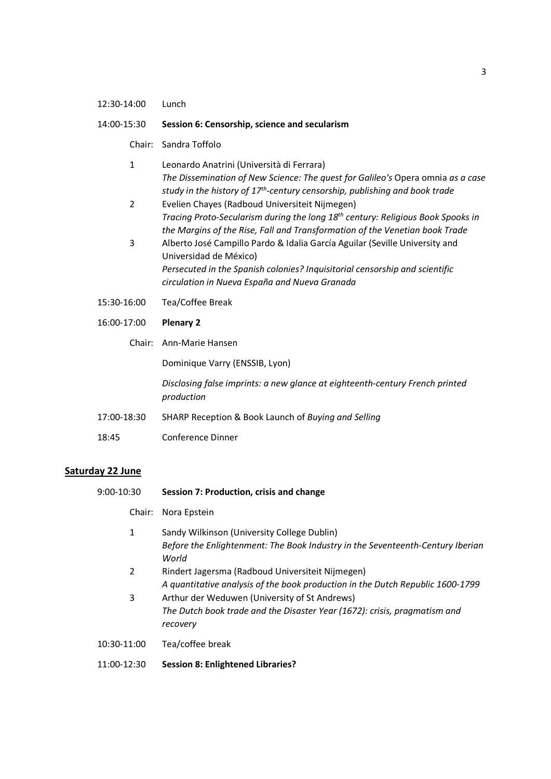### 12:30-14:00 Lunch

### 14:00-15:30 Session 6: Censorship, science and secularism

### Chair: Sandra Toffolo

- 1 Leonardo Anatrini (Università di Ferrara) The Dissemination of New Science: The quest for Galileo's Opera omnia as a case study in the history of  $17<sup>th</sup>$ -century censorship, publishing and book trade
- 2 Evelien Chayes (Radboud Universiteit Nijmegen) Tracing Proto-Secularism during the long 18<sup>th</sup> century: Religious Book Spooks in the Margins of the Rise, Fall and Transformation of the Venetian book Trade
- 3 Alberto José Campillo Pardo & Idalia García Aguilar (Seville University and Universidad de México) Persecuted in the Spanish colonies? Inquisitorial censorship and scientific circulation in Nueva España and Nueva Granada
- 15:30-16:00 Tea/Coffee Break
- 16:00-17:00 Plenary 2
	- Chair: Ann-Marie Hansen

Dominique Varry (ENSSIB, Lyon)

Disclosing false imprints: a new glance at eighteenth-century French printed production

- 17:00-18:30 SHARP Reception & Book Launch of Buying and Selling
- 18:45 Conference Dinner

### Saturday 22 June

- 9:00-10:30 Session 7: Production, crisis and change
	- Chair: Nora Epstein
	- 1 Sandy Wilkinson (University College Dublin) Before the Enlightenment: The Book Industry in the Seventeenth-Century Iberian World
	- 2 Rindert Jagersma (Radboud Universiteit Nijmegen) A quantitative analysis of the book production in the Dutch Republic 1600-1799
	- 3 Arthur der Weduwen (University of St Andrews) The Dutch book trade and the Disaster Year (1672): crisis, pragmatism and recovery
- 10:30-11:00 Tea/coffee break
- 11:00-12:30 Session 8: Enlightened Libraries?